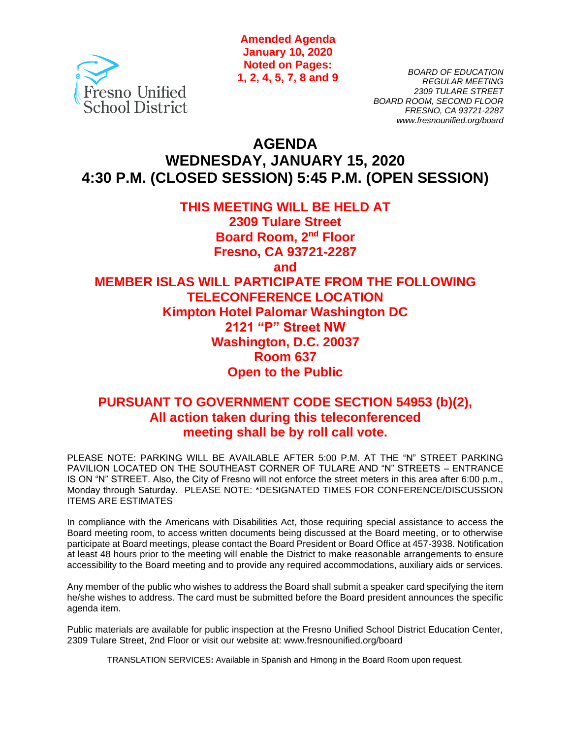

**Amended Agenda January 10, 2020 Noted on Pages: 1, 2, 4, 5, 7, 8 and 9**

*BOARD OF EDUCATION REGULAR MEETING 2309 TULARE STREET BOARD ROOM, SECOND FLOOR FRESNO, CA 93721-2287 www.fresnounified.org/board*

# **AGENDA WEDNESDAY, JANUARY 15, 2020 4:30 P.M. (CLOSED SESSION) 5:45 P.M. (OPEN SESSION)**

# **THIS MEETING WILL BE HELD AT 2309 Tulare Street Board Room, 2nd Floor Fresno, CA 93721-2287 and MEMBER ISLAS WILL PARTICIPATE FROM THE FOLLOWING TELECONFERENCE LOCATION Kimpton Hotel Palomar Washington DC 2121 "P" Street NW Washington, D.C. 20037 Room 637 Open to the Public**

# **PURSUANT TO GOVERNMENT CODE SECTION 54953 (b)(2), All action taken during this teleconferenced meeting shall be by roll call vote.**

PLEASE NOTE: PARKING WILL BE AVAILABLE AFTER 5:00 P.M. AT THE "N" STREET PARKING PAVILION LOCATED ON THE SOUTHEAST CORNER OF TULARE AND "N" STREETS – ENTRANCE IS ON "N" STREET. Also, the City of Fresno will not enforce the street meters in this area after 6:00 p.m., Monday through Saturday. PLEASE NOTE: \*DESIGNATED TIMES FOR CONFERENCE/DISCUSSION ITEMS ARE ESTIMATES

In compliance with the Americans with Disabilities Act, those requiring special assistance to access the Board meeting room, to access written documents being discussed at the Board meeting, or to otherwise participate at Board meetings, please contact the Board President or Board Office at 457-3938. Notification at least 48 hours prior to the meeting will enable the District to make reasonable arrangements to ensure accessibility to the Board meeting and to provide any required accommodations, auxiliary aids or services.

Any member of the public who wishes to address the Board shall submit a speaker card specifying the item he/she wishes to address. The card must be submitted before the Board president announces the specific agenda item.

Public materials are available for public inspection at the Fresno Unified School District Education Center, 2309 Tulare Street, 2nd Floor or visit our website at: www.fresnounified.org/board

TRANSLATION SERVICES**:** Available in Spanish and Hmong in the Board Room upon request.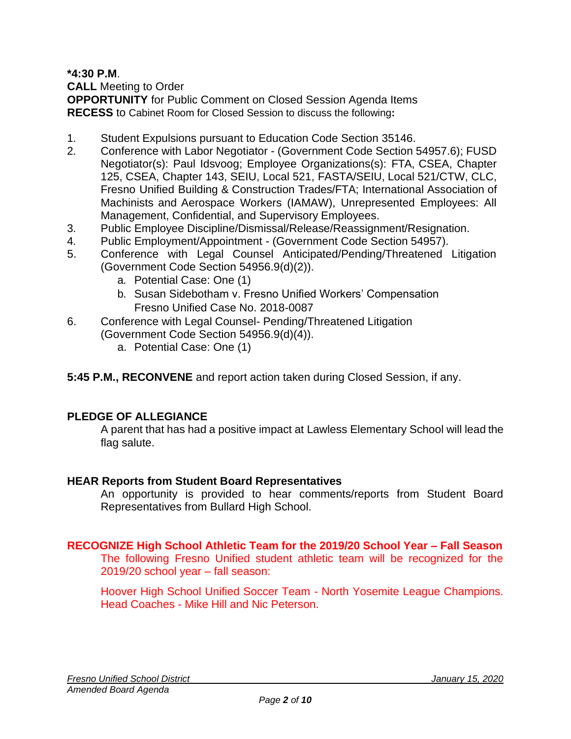**\*4:30 P.M**.

**CALL** Meeting to Order

**OPPORTUNITY** for Public Comment on Closed Session Agenda Items **RECESS** to Cabinet Room for Closed Session to discuss the following**:**

- 1. Student Expulsions pursuant to Education Code Section 35146.
- 2. Conference with Labor Negotiator (Government Code Section 54957.6); FUSD Negotiator(s): Paul Idsvoog; Employee Organizations(s): FTA, CSEA, Chapter 125, CSEA, Chapter 143, SEIU, Local 521, FASTA/SEIU, Local 521/CTW, CLC, Fresno Unified Building & Construction Trades/FTA; International Association of Machinists and Aerospace Workers (IAMAW), Unrepresented Employees: All Management, Confidential, and Supervisory Employees.
- 3. Public Employee Discipline/Dismissal/Release/Reassignment/Resignation.
- 4. Public Employment/Appointment (Government Code Section 54957).
- 5. Conference with Legal Counsel Anticipated/Pending/Threatened Litigation (Government Code Section 54956.9(d)(2)).
	- a. Potential Case: One (1)
	- b. Susan Sidebotham v. Fresno Unified Workers' Compensation Fresno Unified Case No. 2018-0087
- 6. Conference with Legal Counsel- Pending/Threatened Litigation (Government Code Section 54956.9(d)(4)).
	- a. Potential Case: One (1)
- **5:45 P.M., RECONVENE** and report action taken during Closed Session, if any.

# **PLEDGE OF ALLEGIANCE**

A parent that has had a positive impact at Lawless Elementary School will lead the flag salute.

## **HEAR Reports from Student Board Representatives**

An opportunity is provided to hear comments/reports from Student Board Representatives from Bullard High School.

# **RECOGNIZE High School Athletic Team for the 2019/20 School Year – Fall Season**

The following Fresno Unified student athletic team will be recognized for the 2019/20 school year – fall season:

Hoover High School Unified Soccer Team - North Yosemite League Champions. Head Coaches - Mike Hill and Nic Peterson.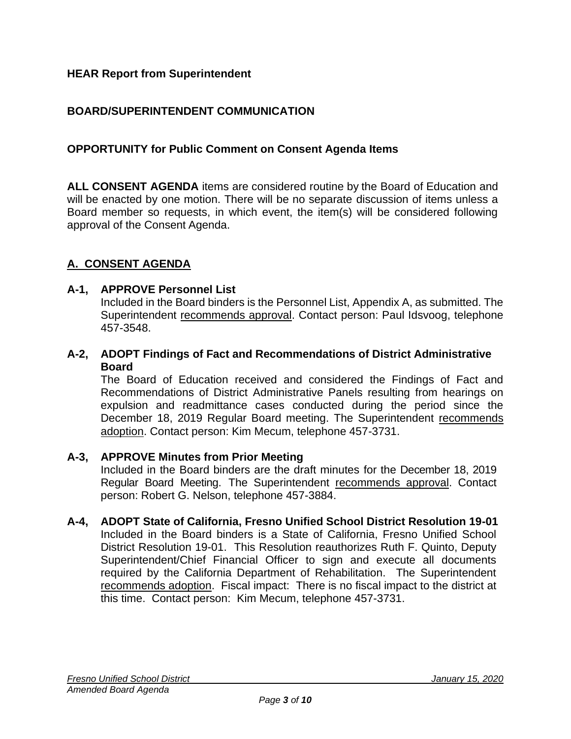## **HEAR Report from Superintendent**

## **BOARD/SUPERINTENDENT COMMUNICATION**

### **OPPORTUNITY for Public Comment on Consent Agenda Items**

**ALL CONSENT AGENDA** items are considered routine by the Board of Education and will be enacted by one motion. There will be no separate discussion of items unless a Board member so requests, in which event, the item(s) will be considered following approval of the Consent Agenda.

## **A. CONSENT AGENDA**

#### **A-1, APPROVE Personnel List**

Included in the Board binders is the Personnel List, Appendix A, as submitted. The Superintendent recommends approval. Contact person: Paul Idsvoog, telephone 457-3548.

### **A-2, ADOPT Findings of Fact and Recommendations of District Administrative Board**

The Board of Education received and considered the Findings of Fact and Recommendations of District Administrative Panels resulting from hearings on expulsion and readmittance cases conducted during the period since the December 18, 2019 Regular Board meeting. The Superintendent recommends adoption. Contact person: Kim Mecum, telephone 457-3731.

#### **A-3, APPROVE Minutes from Prior Meeting**

Included in the Board binders are the draft minutes for the December 18, 2019 Regular Board Meeting. The Superintendent recommends approval. Contact person: Robert G. Nelson, telephone 457-3884.

### **A-4, ADOPT State of California, Fresno Unified School District Resolution 19-01**

Included in the Board binders is a State of California, Fresno Unified School District Resolution 19-01. This Resolution reauthorizes Ruth F. Quinto, Deputy Superintendent/Chief Financial Officer to sign and execute all documents required by the California Department of Rehabilitation. The Superintendent recommends adoption. Fiscal impact: There is no fiscal impact to the district at this time. Contact person: Kim Mecum, telephone 457-3731.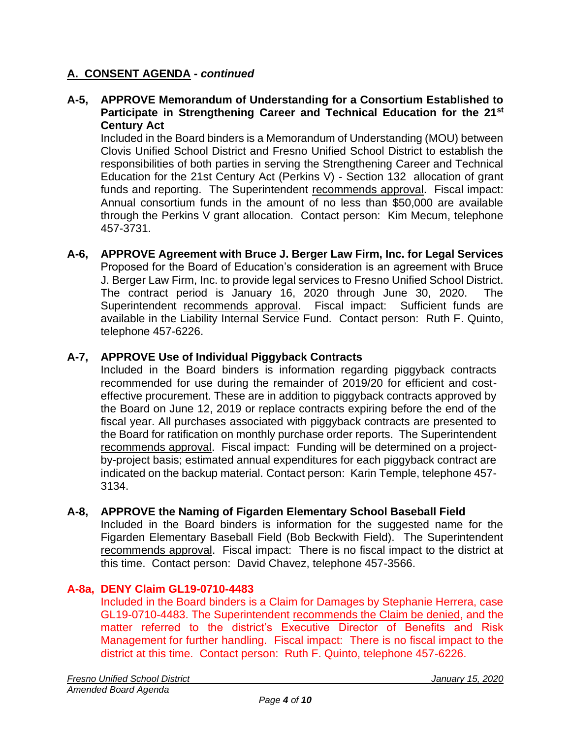## **A. CONSENT AGENDA -** *continued*

### **A-5, APPROVE Memorandum of Understanding for a Consortium Established to Participate in Strengthening Career and Technical Education for the 21st Century Act**

Included in the Board binders is a Memorandum of Understanding (MOU) between Clovis Unified School District and Fresno Unified School District to establish the responsibilities of both parties in serving the Strengthening Career and Technical Education for the 21st Century Act (Perkins V) - Section 132 allocation of grant funds and reporting. The Superintendent recommends approval. Fiscal impact: Annual consortium funds in the amount of no less than \$50,000 are available through the Perkins V grant allocation. Contact person: Kim Mecum, telephone 457-3731.

**A-6, APPROVE Agreement with Bruce J. Berger Law Firm, Inc. for Legal Services** Proposed for the Board of Education's consideration is an agreement with Bruce J. Berger Law Firm, Inc. to provide legal services to Fresno Unified School District. The contract period is January 16, 2020 through June 30, 2020. The Superintendent recommends approval. Fiscal impact: Sufficient funds are available in the Liability Internal Service Fund. Contact person: Ruth F. Quinto, telephone 457-6226.

## **A-7, APPROVE Use of Individual Piggyback Contracts**

Included in the Board binders is information regarding piggyback contracts recommended for use during the remainder of 2019/20 for efficient and costeffective procurement. These are in addition to piggyback contracts approved by the Board on June 12, 2019 or replace contracts expiring before the end of the fiscal year. All purchases associated with piggyback contracts are presented to the Board for ratification on monthly purchase order reports. The Superintendent recommends approval. Fiscal impact: Funding will be determined on a projectby-project basis; estimated annual expenditures for each piggyback contract are indicated on the backup material. Contact person: Karin Temple, telephone 457- 3134.

## **A-8, APPROVE the Naming of Figarden Elementary School Baseball Field**

Included in the Board binders is information for the suggested name for the Figarden Elementary Baseball Field (Bob Beckwith Field). The Superintendent recommends approval. Fiscal impact: There is no fiscal impact to the district at this time. Contact person: David Chavez, telephone 457-3566.

## **A-8a, DENY Claim GL19-0710-4483**

Included in the Board binders is a Claim for Damages by Stephanie Herrera, case GL19-0710-4483. The Superintendent recommends the Claim be denied, and the matter referred to the district's Executive Director of Benefits and Risk Management for further handling. Fiscal impact: There is no fiscal impact to the district at this time. Contact person: Ruth F. Quinto, telephone 457-6226.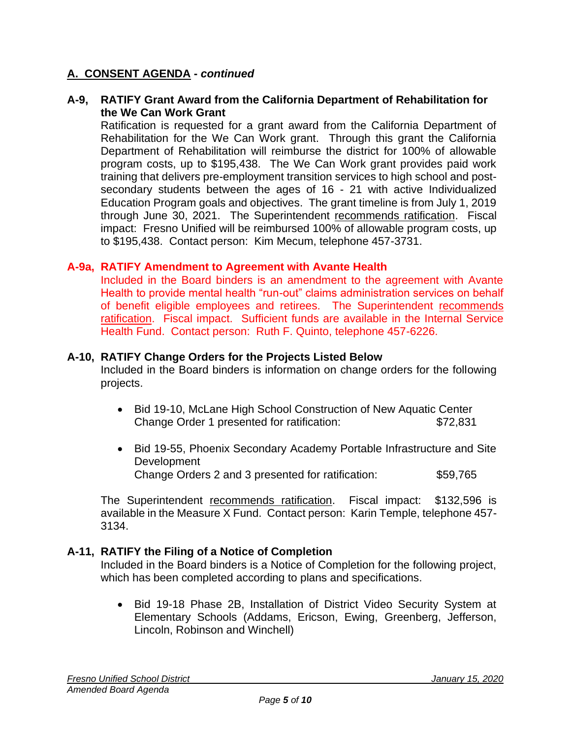## **A. CONSENT AGENDA -** *continued*

### **A-9, RATIFY Grant Award from the California Department of Rehabilitation for the We Can Work Grant**

Ratification is requested for a grant award from the California Department of Rehabilitation for the We Can Work grant. Through this grant the California Department of Rehabilitation will reimburse the district for 100% of allowable program costs, up to \$195,438. The We Can Work grant provides paid work training that delivers pre-employment transition services to high school and postsecondary students between the ages of 16 - 21 with active Individualized Education Program goals and objectives. The grant timeline is from July 1, 2019 through June 30, 2021. The Superintendent recommends ratification. Fiscal impact: Fresno Unified will be reimbursed 100% of allowable program costs, up to \$195,438. Contact person: Kim Mecum, telephone 457-3731.

### **A-9a, RATIFY Amendment to Agreement with Avante Health**

Included in the Board binders is an amendment to the agreement with Avante Health to provide mental health "run-out" claims administration services on behalf of benefit eligible employees and retirees. The Superintendent recommends ratification. Fiscal impact. Sufficient funds are available in the Internal Service Health Fund. Contact person: Ruth F. Quinto, telephone 457-6226.

### **A-10, RATIFY Change Orders for the Projects Listed Below**

Included in the Board binders is information on change orders for the following projects.

- Bid 19-10, McLane High School Construction of New Aquatic Center Change Order 1 presented for ratification: \$72,831
- Bid 19-55, Phoenix Secondary Academy Portable Infrastructure and Site Development Change Orders 2 and 3 presented for ratification: \$59,765

The Superintendent recommends ratification. Fiscal impact: \$132,596 is available in the Measure X Fund. Contact person: Karin Temple, telephone 457- 3134.

## **A-11, RATIFY the Filing of a Notice of Completion**

Included in the Board binders is a Notice of Completion for the following project, which has been completed according to plans and specifications.

• Bid 19-18 Phase 2B, Installation of District Video Security System at Elementary Schools (Addams, Ericson, Ewing, Greenberg, Jefferson, Lincoln, Robinson and Winchell)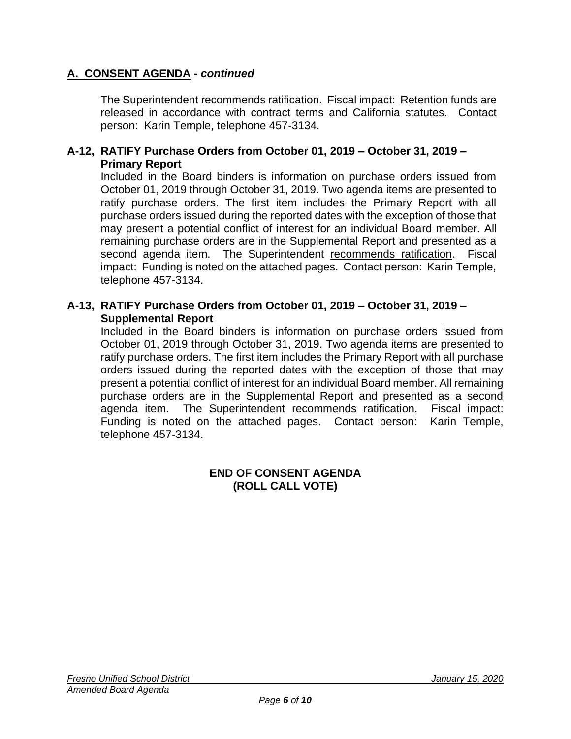# **A. CONSENT AGENDA -** *continued*

The Superintendent recommends ratification. Fiscal impact: Retention funds are released in accordance with contract terms and California statutes. Contact person: Karin Temple, telephone 457-3134.

### **A-12, RATIFY Purchase Orders from October 01, 2019 – October 31, 2019 – Primary Report**

Included in the Board binders is information on purchase orders issued from October 01, 2019 through October 31, 2019. Two agenda items are presented to ratify purchase orders. The first item includes the Primary Report with all purchase orders issued during the reported dates with the exception of those that may present a potential conflict of interest for an individual Board member. All remaining purchase orders are in the Supplemental Report and presented as a second agenda item. The Superintendent recommends ratification. Fiscal impact: Funding is noted on the attached pages. Contact person: Karin Temple, telephone 457-3134.

### **A-13, RATIFY Purchase Orders from October 01, 2019 – October 31, 2019 – Supplemental Report**

Included in the Board binders is information on purchase orders issued from October 01, 2019 through October 31, 2019. Two agenda items are presented to ratify purchase orders. The first item includes the Primary Report with all purchase orders issued during the reported dates with the exception of those that may present a potential conflict of interest for an individual Board member. All remaining purchase orders are in the Supplemental Report and presented as a second agenda item. The Superintendent recommends ratification. Fiscal impact: Funding is noted on the attached pages. Contact person: Karin Temple, telephone 457-3134.

#### **END OF CONSENT AGENDA (ROLL CALL VOTE)**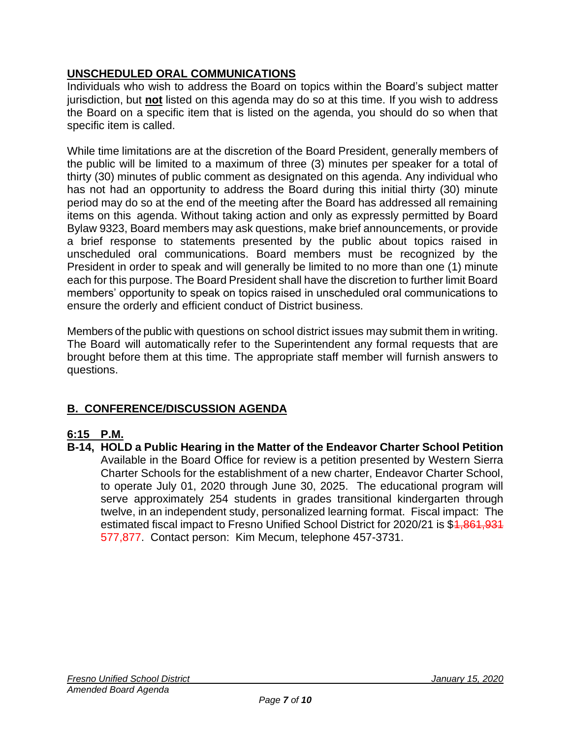# **UNSCHEDULED ORAL COMMUNICATIONS**

Individuals who wish to address the Board on topics within the Board's subject matter jurisdiction, but **not** listed on this agenda may do so at this time. If you wish to address the Board on a specific item that is listed on the agenda, you should do so when that specific item is called.

While time limitations are at the discretion of the Board President, generally members of the public will be limited to a maximum of three (3) minutes per speaker for a total of thirty (30) minutes of public comment as designated on this agenda. Any individual who has not had an opportunity to address the Board during this initial thirty (30) minute period may do so at the end of the meeting after the Board has addressed all remaining items on this agenda. Without taking action and only as expressly permitted by Board Bylaw 9323, Board members may ask questions, make brief announcements, or provide a brief response to statements presented by the public about topics raised in unscheduled oral communications. Board members must be recognized by the President in order to speak and will generally be limited to no more than one (1) minute each for this purpose. The Board President shall have the discretion to further limit Board members' opportunity to speak on topics raised in unscheduled oral communications to ensure the orderly and efficient conduct of District business.

Members of the public with questions on school district issues may submit them in writing. The Board will automatically refer to the Superintendent any formal requests that are brought before them at this time. The appropriate staff member will furnish answers to questions.

# **B. CONFERENCE/DISCUSSION AGENDA**

## **6:15 P.M.**

**B-14, HOLD a Public Hearing in the Matter of the Endeavor Charter School Petition** Available in the Board Office for review is a petition presented by Western Sierra Charter Schools for the establishment of a new charter, Endeavor Charter School, to operate July 01, 2020 through June 30, 2025. The educational program will serve approximately 254 students in grades transitional kindergarten through twelve, in an independent study, personalized learning format. Fiscal impact: The estimated fiscal impact to Fresno Unified School District for 2020/21 is \$4,861,934 577,877. Contact person: Kim Mecum, telephone 457-3731.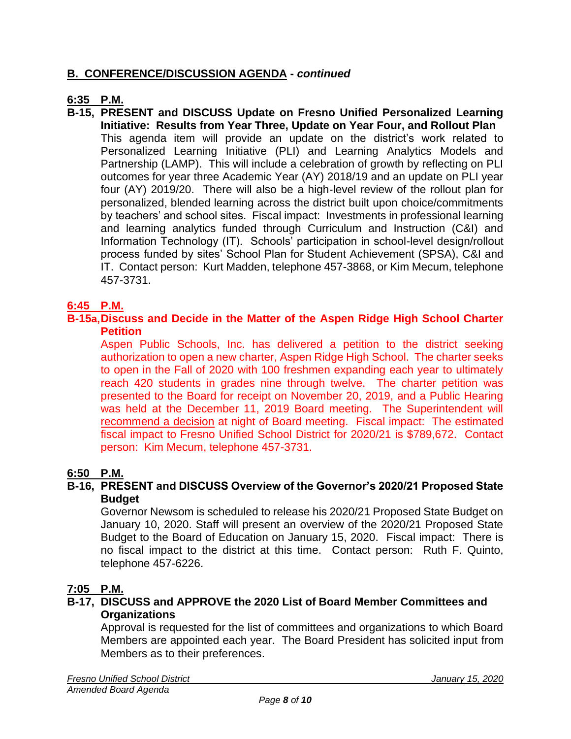# **B. CONFERENCE/DISCUSSION AGENDA -** *continued*

# **6:35 P.M.**

**B-15, PRESENT and DISCUSS Update on Fresno Unified Personalized Learning Initiative: Results from Year Three, Update on Year Four, and Rollout Plan** This agenda item will provide an update on the district's work related to Personalized Learning Initiative (PLI) and Learning Analytics Models and Partnership (LAMP). This will include a celebration of growth by reflecting on PLI outcomes for year three Academic Year (AY) 2018/19 and an update on PLI year four (AY) 2019/20. There will also be a high-level review of the rollout plan for personalized, blended learning across the district built upon choice/commitments by teachers' and school sites. Fiscal impact: Investments in professional learning and learning analytics funded through Curriculum and Instruction (C&I) and Information Technology (IT). Schools' participation in school-level design/rollout process funded by sites' School Plan for Student Achievement (SPSA), C&I and IT. Contact person: Kurt Madden, telephone 457-3868, or Kim Mecum, telephone 457-3731.

## **6:45 P.M.**

#### **B-15a,Discuss and Decide in the Matter of the Aspen Ridge High School Charter Petition**

Aspen Public Schools, Inc. has delivered a petition to the district seeking authorization to open a new charter, Aspen Ridge High School. The charter seeks to open in the Fall of 2020 with 100 freshmen expanding each year to ultimately reach 420 students in grades nine through twelve. The charter petition was presented to the Board for receipt on November 20, 2019, and a Public Hearing was held at the December 11, 2019 Board meeting. The Superintendent will recommend a decision at night of Board meeting. Fiscal impact: The estimated fiscal impact to Fresno Unified School District for 2020/21 is \$789,672. Contact person: Kim Mecum, telephone 457-3731.

## **6:50 P.M.**

### **B-16, PRESENT and DISCUSS Overview of the Governor's 2020/21 Proposed State Budget**

Governor Newsom is scheduled to release his 2020/21 Proposed State Budget on January 10, 2020. Staff will present an overview of the 2020/21 Proposed State Budget to the Board of Education on January 15, 2020. Fiscal impact: There is no fiscal impact to the district at this time. Contact person: Ruth F. Quinto, telephone 457-6226.

## **7:05 P.M.**

### **B-17, DISCUSS and APPROVE the 2020 List of Board Member Committees and Organizations**

Approval is requested for the list of committees and organizations to which Board Members are appointed each year. The Board President has solicited input from Members as to their preferences.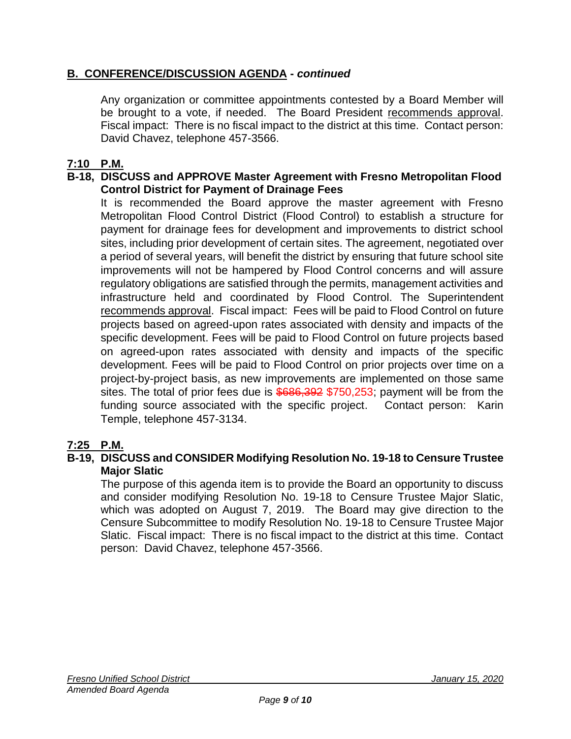# **B. CONFERENCE/DISCUSSION AGENDA -** *continued*

Any organization or committee appointments contested by a Board Member will be brought to a vote, if needed. The Board President recommends approval. Fiscal impact: There is no fiscal impact to the district at this time. Contact person: David Chavez, telephone 457-3566.

## **7:10 P.M.**

## **B-18, DISCUSS and APPROVE Master Agreement with Fresno Metropolitan Flood Control District for Payment of Drainage Fees**

It is recommended the Board approve the master agreement with Fresno Metropolitan Flood Control District (Flood Control) to establish a structure for payment for drainage fees for development and improvements to district school sites, including prior development of certain sites. The agreement, negotiated over a period of several years, will benefit the district by ensuring that future school site improvements will not be hampered by Flood Control concerns and will assure regulatory obligations are satisfied through the permits, management activities and infrastructure held and coordinated by Flood Control. The Superintendent recommends approval. Fiscal impact: Fees will be paid to Flood Control on future projects based on agreed-upon rates associated with density and impacts of the specific development. Fees will be paid to Flood Control on future projects based on agreed-upon rates associated with density and impacts of the specific development. Fees will be paid to Flood Control on prior projects over time on a project-by-project basis, as new improvements are implemented on those same sites. The total of prior fees due is  $$686,392$  \$750,253; payment will be from the funding source associated with the specific project. Contact person: Karin Temple, telephone 457-3134.

## **7:25 P.M.**

## **B-19, DISCUSS and CONSIDER Modifying Resolution No. 19-18 to Censure Trustee Major Slatic**

The purpose of this agenda item is to provide the Board an opportunity to discuss and consider modifying Resolution No. 19-18 to Censure Trustee Major Slatic, which was adopted on August 7, 2019. The Board may give direction to the Censure Subcommittee to modify Resolution No. 19-18 to Censure Trustee Major Slatic. Fiscal impact: There is no fiscal impact to the district at this time. Contact person: David Chavez, telephone 457-3566.